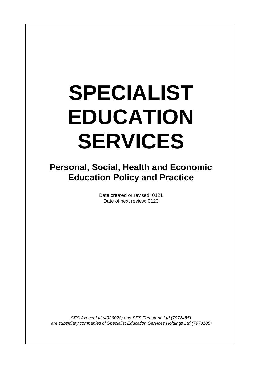# **SPECIALIST EDUCATION SERVICES**

**Personal, Social, Health and Economic Education Policy and Practice**

> Date created or revised: 0121 Date of next review: 0123

*SES Avocet Ltd (4926028) and SES Turnstone Ltd (7972485) are subsidiary companies of Specialist Education Services Holdings Ltd (7970185)*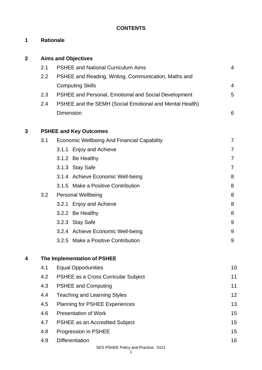# **CONTENTS**

# **1 Rationale**

| 2 |     | <b>Aims and Objectives</b>                              |                |
|---|-----|---------------------------------------------------------|----------------|
|   | 2.1 | <b>PSHEE and National Curriculum Aims</b>               | $\overline{4}$ |
|   | 2.2 | PSHEE and Reading, Writing, Communication, Maths and    |                |
|   |     | <b>Computing Skills</b>                                 | 4              |
|   | 2.3 | PSHEE and Personal, Emotional and Social Development    | 5              |
|   | 2.4 | PSHEE and the SEMH (Social Emotional and Mental Health) |                |
|   |     | <b>Dimension</b>                                        | 6              |
| 3 |     | <b>PSHEE and Key Outcomes</b>                           |                |
|   | 3.1 | <b>Economic Wellbeing And Financial Capability</b>      | $\overline{7}$ |
|   |     | 3.1.1 Enjoy and Achieve                                 | $\overline{7}$ |
|   |     | 3.1.2 Be Healthy                                        | $\overline{7}$ |
|   |     | 3.1.3 Stay Safe                                         | $\overline{7}$ |
|   |     | 3.1.4 Achieve Economic Well-being                       | 8              |
|   |     | 3.1.5 Make a Positive Contribution                      | 8              |
|   | 3.2 | <b>Personal Wellbeing</b>                               | 8              |
|   |     | 3.2.1 Enjoy and Achieve                                 | 8              |
|   |     | 3.2.2 Be Healthy                                        | 8              |
|   |     | 3.2.3 Stay Safe                                         | 9              |
|   |     | 3.2.4 Achieve Economic Well-being                       | 9              |
|   |     | Make a Positive Contribution<br>3.2.5                   | 9              |
| 4 |     | The Implementation of PSHEE                             |                |
|   | 4.1 | <b>Equal Opportunities</b>                              | 10             |
|   | 4.2 | PSHEE as a Cross Curricular Subject                     | 11             |
|   | 4.3 | <b>PSHEE and Computing</b>                              | 11             |
|   | 4.4 | <b>Teaching and Learning Styles</b>                     | 12             |
|   | 4.5 | <b>Planning for PSHEE Experiences</b>                   | 13             |
|   | 4.6 | <b>Presentation of Work</b>                             | 15             |
|   | 4.7 | <b>PSHEE as an Accredited Subject</b>                   | 15             |
|   | 4.8 | Progression in PSHEE                                    | 15             |
|   | 4.9 | <b>Differentiation</b>                                  | 16             |
|   |     | <b>CEC DOHEE Doliny and Dractice: 0121</b>              |                |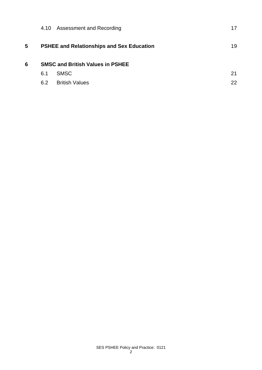|   | 4.10                                    | <b>Assessment and Recording</b>                  | 17 |  |  |
|---|-----------------------------------------|--------------------------------------------------|----|--|--|
| 5 |                                         | <b>PSHEE and Relationships and Sex Education</b> | 19 |  |  |
| 6 | <b>SMSC and British Values in PSHEE</b> |                                                  |    |  |  |
|   | 6.1                                     | <b>SMSC</b>                                      | 21 |  |  |
|   | 6.2                                     | <b>British Values</b>                            | 22 |  |  |
|   |                                         |                                                  |    |  |  |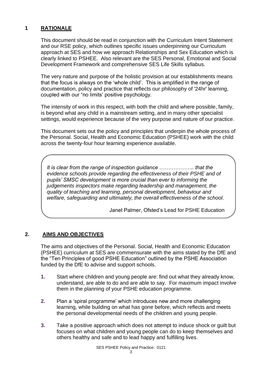## **1 RATIONALE**

This document should be read in conjunction with the Curriculum Intent Statement and our RSE policy, which outlines specific issues underpinning our Curriculum approach at SES and how we approach Relationships and Sex Education which is clearly linked to PSHEE. Also relevant are the SES Personal, Emotional and Social Development Framework and comprehensive SES Life Skills syllabus.

The very nature and purpose of the holistic provision at our establishments means that the focus is always on the 'whole child'. This is amplified in the range of documentation, policy and practice that reflects our philosophy of '24hr' learning, coupled with our "no limits' positive psychology.

The intensity of work in this respect, with both the child and where possible, family, is beyond what any child in a mainstream setting, and in many other specialist settings, would experience because of the very purpose and nature of our practice.

This document sets out the policy and principles that underpin the whole process of the Personal. Social, Health and Economic Education (PSHEE) work with the child across the twenty-four hour learning experience available.

*It is clear from the range of inspection guidance ……………….. that the evidence schools provide regarding the effectiveness of their PSHE and of pupils' SMSC development is more crucial than ever to informing the judgements inspectors make regarding leadership and management, the quality of teaching and learning, personal development, behaviour and welfare, safeguarding and ultimately, the overall effectiveness of the school.*

Janet Palmer, Ofsted's Lead for PSHE Education

## **2. AlMS AND OBJECTIVES**

The aims and objectives of the Personal. Social, Health and Economic Education (PSHEE) curriculum at SES are commensurate with the aims stated by the DfE and the "Ten Principles of good PSHE Education" outlined by the PSHE Association funded by the DfE to advise and support schools.

- **1.** Start where children and young people are: find out what they already know, understand, are able to do and are able to say. For maximum impact involve them in the planning of your PSHE education programme.
- **2.** Plan a 'spiral programme' which introduces new and more challenging learning, while building on what has gone before, which reflects and meets the personal developmental needs of the children and young people.
- **3.** Take a positive approach which does not attempt to induce shock or guilt but focuses on what children and young people can do to keep themselves and others healthy and safe and to lead happy and fulfilling lives.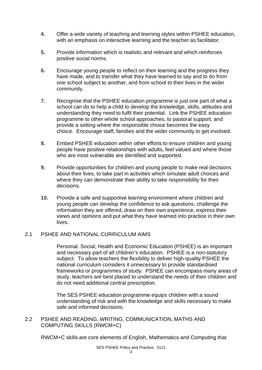- **4.** Offer a wide variety of teaching and learning styles within PSHEE education, with an emphasis on interactive learning and the teacher as facilitator.
- **5.** Provide information which is realistic and relevant and which reinforces positive social norms.
- **6.** Encourage young people to reflect on their learning and the progress they have made, and to transfer what they have learned to say and to do from one school subject to another, and from school to their lives in the wider community.
- **7.** Recognise that the PSHEE education programme is just one part of what a school can do to help a child to develop the knowledge, skills, attitudes and understanding they need to fulfil their potential. Link the PSHEE education programme to other whole school approaches, to pastoral support, and provide a setting where the responsible choice becomes the easy choice. Encourage staff, families and the wider community to get involved.
- **8.** Embed PSHEE education within other efforts to ensure children and young people have positive relationships with adults, feel valued and where those who are most vulnerable are identified and supported.
- **9.** Provide opportunities for children and young people to make real decisions about their lives, to take part in activities which simulate adult choices and where they can demonstrate their ability to take responsibility for their decisions.
- **10.** Provide a safe and supportive learning environment where children and young people can develop the confidence to ask questions, challenge the information they are offered, draw on their own experience, express their views and opinions and put what they have learned into practice in their own lives.

## 2.1 PSHEE AND NATIONAL CURRICULUM AIMS

Personal. Social, Health and Economic Education (PSHEE) is an important and necessary part of all chlidren's education. PSHEE is a non-statutory subject. To allow teachers the flexibility to deliver high-quality PSHEE the national curriculum considers it unnecessary to provide standardised frameworks or programmes of study. PSHEE can encompass many areas of study, teachers are best placed to understand the needs of their children and do not need additional central prescription.

The SES PSHEE education programme equips children with a sound understanding of risk and with the knowledge and skills necessary to make safe and informed decisions.

2.2 PSHEE AND READING, WRITING, COMMUNICATION, MATHS AND COMPUTING SKILLS (RWCM+C)

RWCM+C skills are core elements of English, Mathematics and Computing that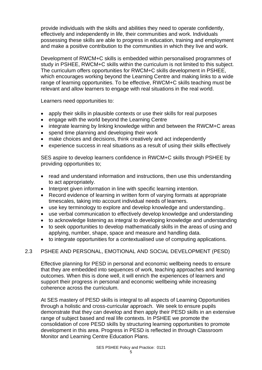provide individuals with the skills and abilities they need to operate confidently, effectively and independently in life, their communities and work. Individuals possessing these skills are able to progress in education, training and employment and make a positive contribution to the communities in which they live and work.

Development of RWCM+C skills is embedded within personalised programmes of study in PSHEE, RWCM+C skills within the curriculum is not limited to this subject. The curriculum offers opportunities for RWCM+C skills development in PSHEE, which encourages working beyond the Learning Centre and making links to a wide range of learning opportunities. To be effective, RWCM+C skills teaching must be relevant and allow learners to engage with real situations in the real world.

Learners need opportunities to:

- apply their skills in plausible contexts or use their skills for real purposes
- engage with the world beyond the Learning Centre
- integrate learning by linking knowledge within and between the RWCM+C areas
- spend time planning and developing their work
- make choices and decisions, think creatively and act independently
- experience success in real situations as a result of using their skills effectively

SES aspire to develop learners confidence in RWCM+C skills through PSHEE by providing opportunities to;

- read and understand information and instructions, then use this understanding to act appropriately.
- Interpret given information in line with specific learning intention.
- Record evidence of learning in written form of varying formats at appropriate timescales, taking into account individual needs of learners.
- use key terminology to explore and develop knowledge and understanding..
- use verbal communication to effectively develop knowledge and understanding
- to acknowledge listening as integral to developing knowledge and understanding
- to seek opportunities to develop mathematically skills in the areas of using and applying, number, shape, space and measure and handling data.
- to integrate opportunities for a contextualised use of computing applications.

# 2.3 PSHEE AND PERSONAL, EMOTIONAL AND SOCIAL DEVELOPMENT (PESD)

Effective planning for PESD in personal and economic wellbeing needs to ensure that they are embedded into sequences of work, teaching approaches and learning outcomes. When this is done well, it will enrich the experiences of learners and support their progress in personal and economic wellbeing while increasing coherence across the curriculum.

At SES mastery of PESD skills is integral to all aspects of Learning Opportunities through a holistic and cross-curricular approach. We seek to ensure pupils demonstrate that they can develop and then apply their PESD skills in an extensive range of subject based and real life contexts. In PSHEE we promote the consolidation of core PESD skills by structuring learning opportunities to promote development in this area. Progress in PESD is reflected in through Classroom Monitor and Learning Centre Education Plans.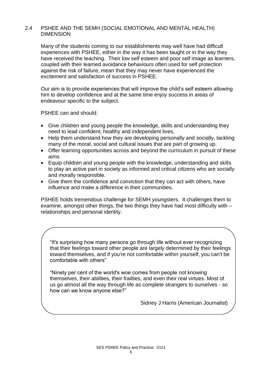#### 2.4 PSHEE AND THE SEMH (SOCIAL EMOTIONAL AND MENTAL HEALTH) DIMENSION

Many of the students coming to our establishments may well have had difficult experiences with PSHEE, either in the way it has been taught or in the way they have received the teaching. Their low self esteem and poor self image as learners, coupled with their learned avoidance behaviours often used for self protection against the risk of failure, mean that they may never have experienced the excitement and satisfaction of success in PSHEE.

Our aim is to provide experiences that will improve the child's self esteem allowing him to develop confidence and at the same time enjoy success in areas of endeavour specific to the subject.

PSHEE can and should:

- Give children and young people the knowledge, skills and understanding they need to lead confident, healthy and independent lives.
- Help them understand how they are developing personally and socially, tackling many of the moral, social and cultural issues that are part of growing up.
- Offer learning opportunities across and beyond the curriculum in pursuit of these aims
- Equip children and young people with the knowledge, understanding and skills to play an active part in society as informed and critical citizens who are socially and morally responsible.
- Give them the confidence and conviction that they can act with others, have influence and make a difference in their communities.

PSHEE holds tremendous challenge for SEMH youngsters. It challenges them to examine, amongst other things, the two things they have had most difficulty with – relationships and personal identity.

"It's surprising how many persons go through life without ever recognizing that their feelings toward other people are largely determined by their feelings toward themselves, and if you're not comfortable within yourself, you can't be comfortable with others"

"Ninety per cent of the world's woe comes from people not knowing themselves, their abilities, their frailties, and even their real virtues. Most of us go almost all the way through life as complete strangers to ourselves - so how can we know anyone else?"

Sidney J Harris (American Journalist)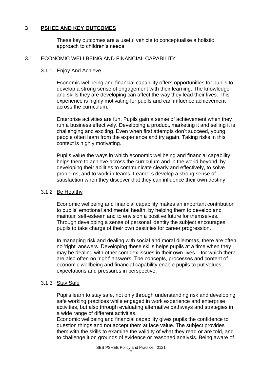## **3 PSHEE AND KEY OUTCOMES**

These key outcomes are a useful vehicle to conceptualise a holistic approach to children's needs

#### 3.1 ECONOMIC WELLBEING AND FINANCIAL CAPABILITY

#### 3.1.1 Enjoy And Achieve

Economic wellbeing and financial capability offers opportunities for pupils to develop a strong sense of engagement with their learning. The knowledge and skills they are developing can affect the way they lead their lives. This experience is highly motivating for pupils and can influence achievement across the curriculum.

Enterprise activities are fun. Pupils gain a sense of achievement when they run a business effectively. Developing a product, marketing it and selling it is challenging and exciting. Even when first attempts don't succeed, young people often learn from the experience and try again. Taking risks in this context is highly motivating.

Pupils value the ways in which economic wellbeing and financial capability helps them to achieve across the curriculum and in the world beyond, by developing their abilities to communicate clearly and effectively, to solve problems, and to work in teams. Learners develop a strong sense of satisfaction when they discover that they can influence their own destiny.

#### 3.1.2 Be Healthy

Economic wellbeing and financial capability makes an important contribution to pupils' emotional and mental health, by helping them to develop and maintain self-esteem and to envision a positive future for themselves. Through developing a sense of personal identity the subject encourages pupils to take charge of their own destinies for career progression.

In managing risk and dealing with social and moral dilemmas, there are often no 'right' answers. Developing these skills helps pupils at a time when they may be dealing with other complex issues in their own lives – for which there are also often no 'right' answers. The concepts, processes and content of economic wellbeing and financial capability enable pupils to put values, expectations and pressures in perspective.

#### 3.1.3 Stay Safe

Pupils learn to stay safe, not only through understanding risk and developing safe working practices while engaged in work experience and enterprise activities, but also through evaluating alternative pathways and strategies in a wide range of different activities.

Economic wellbeing and financial capability gives pupils the confidence to question things and not accept them at face value. The subject provides them with the skills to examine the validity of what they read or are told, and to challenge it on grounds of evidence or reasoned analysis. Being aware of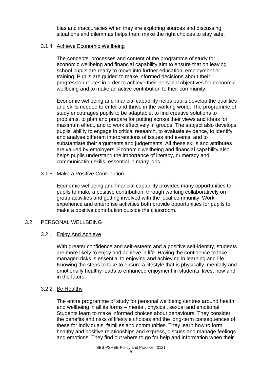bias and inaccuracies when they are exploring sources and discussing situations and dilemmas helps them make the right choices to stay safe.

#### 3.1.4 Achieve Economic Wellbeing

The concepts, processes and content of the programme of study for economic wellbeing and financial capability aim to ensure that on leaving school pupils are ready to move into further education, employment or training. Pupils are guided to make informed decisions about their progression routes in order to achieve their personal objectives for economic wellbeing and to make an active contribution to their community.

Economic wellbeing and financial capability helps pupils develop the qualities and skills needed to enter and thrive in the working world. The programme of study encourages pupils to be adaptable, to find creative solutions to problems, to plan and prepare for putting across their views and ideas for maximum effect, and to work effectively in groups. The subject also develops pupils' ability to engage in critical research, to evaluate evidence, to identify and analyse different interpretations of issues and events, and to substantiate their arguments and judgements. All these skills and attributes are valued by employers. Economic wellbeing and financial capability also helps pupils understand the importance of literacy, numeracy and communication skills, essential in many jobs.

### 3.1.5 Make a Positive Contribution

Economic wellbeing and financial capability provides many opportunities for pupils to make a positive contribution, through working collaboratively on group activities and getting involved with the local community. Work experience and enterprise activities both provide opportunities for pupils to make a positive contribution outside the classroom.

#### 3.2 PERSONAL WELLBEING

#### 3.2.1 Enjoy And Achieve

With greater confidence and self-esteem and a positive self-identity, students are more likely to enjoy and achieve in life. Having the confidence to take managed risks is essential to enjoying and achieving in learning and life. Knowing the steps to take to ensure a lifestyle that is physically, mentally and emotionally healthy leads to enhanced enjoyment in students' lives, now and in the future.

#### 3.2.2 Be Healthy

The entire programme of study for personal wellbeing centres around health and wellbeing in all its forms – mental, physical, sexual and emotional. Students learn to make informed choices about behaviours. They consider the benefits and risks of lifestyle choices and the long-term consequences of these for individuals, families and communities. They learn how to form healthy and positive relationships and express, discuss and manage feelings and emotions. They find out where to go for help and information when their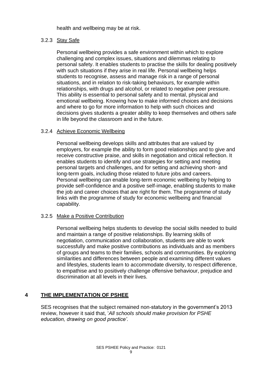health and wellbeing may be at risk.

## 3.2.3 Stay Safe

Personal wellbeing provides a safe environment within which to explore challenging and complex issues, situations and dilemmas relating to personal safety. It enables students to practise the skills for dealing positively with such situations if they arise in real life. Personal wellbeing helps students to recognise, assess and manage risk in a range of personal situations, and in relation to risk-taking behaviours, for example within relationships, with drugs and alcohol, or related to negative peer pressure. This ability is essential to personal safety and to mental, physical and emotional wellbeing. Knowing how to make informed choices and decisions and where to go for more information to help with such choices and decisions gives students a greater ability to keep themselves and others safe in life beyond the classroom and in the future.

#### 3.2.4 Achieve Economic Wellbeing

Personal wellbeing develops skills and attributes that are valued by employers, for example the ability to form good relationships and to give and receive constructive praise, and skills in negotiation and critical reflection. It enables students to identify and use strategies for setting and meeting personal targets and challenges, and for setting and achieving short- and long-term goals, including those related to future jobs and careers. Personal wellbeing can enable long-term economic wellbeing by helping to provide self-confidence and a positive self-image, enabling students to make the job and career choices that are right for them. The programme of study links with the programme of study for economic wellbeing and financial capability.

#### 3.2.5 Make a Positive Contribution

Personal wellbeing helps students to develop the social skills needed to build and maintain a range of positive relationships. By learning skills of negotiation, communication and collaboration, students are able to work successfully and make positive contributions as individuals and as members of groups and teams to their families, schools and communities. By exploring similarities and differences between people and examining different values and lifestyles, students learn to accommodate diversity, to respect difference, to empathise and to positively challenge offensive behaviour, prejudice and discrimination at all levels in their lives.

## **4 THE IMPLEMENTATION OF PSHEE**

SES recognises that the subject remained non-statutory in the government's 2013 review, however it said that, '*All schools should make provision for PSHE education, drawing on good practice'.*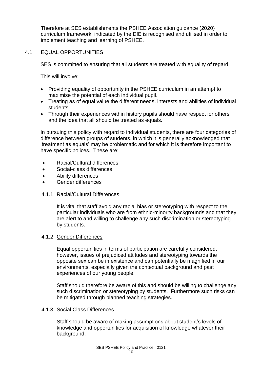Therefore at SES establishments the PSHEE Association guidance (2020) curriculum framework, indicated by the DfE is recognised and utilised in order to implement teaching and learning of PSHEE.

#### 4.1 EQUAL OPPORTUNITIES

SES is committed to ensuring that all students are treated with equality of regard.

This will involve:

- Providing equality of opportunity in the PSHEE curriculum in an attempt to maximise the potential of each individual pupil.
- Treating as of equal value the different needs, interests and abilities of individual students.
- Through their experiences within history pupils should have respect for others and the idea that all should be treated as equals.

In pursuing this policy with regard to individual students, there are four categories of difference between groups of students, in which it is generally acknowledged that 'treatment as equals' may be problematic and for which it is therefore important to have specific polices. These are:

- Racial/Cultural differences
- Social-class differences
- Ability differences
- Gender differences

#### 4.1.1 Racial/Cultural Differences

It is vital that staff avoid any racial bias or stereotyping with respect to the particular individuals who are from ethnic-minority backgrounds and that they are alert to and willing to challenge any such discrimination or stereotyping by students.

#### 4.1.2 Gender Differences

Equal opportunities in terms of participation are carefully considered, however, issues of prejudiced attitudes and stereotyping towards the opposite sex can be in existence and can potentially be magnified in our environments, especially given the contextual background and past experiences of our young people.

Staff should therefore be aware of this and should be willing to challenge any such discrimination or stereotyping by students. Furthermore such risks can be mitigated through planned teaching strategies.

#### 4.1.3 Social Class Differences

Staff should be aware of making assumptions about student's levels of knowledge and opportunities for acquisition of knowledge whatever their background.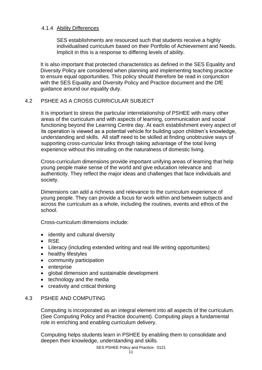#### 4.1.4 Ability Differences

SES establishments are resourced such that students receive a highly individualised curriculum based on their Portfolio of Achievement and Needs. Implicit in this is a response to differing levels of ability.

It is also important that protected characteristics as defined in the SES Equality and Diversity Policy are considered when planning and implementing teaching practice to ensure equal opportunities. This policy should therefore be read in conjunction with the SES Equality and Diversity Policy and Practice document and the DfE guidance around our equality duty.

## 4.2 PSHEE AS A CROSS CURRICULAR SUBJECT

It is important to stress the particular interrelationship of PSHEE with many other areas of the curriculum and with aspects of learning, communication and social functioning beyond the Learning Centre day. At each establishment every aspect of its operation is viewed as a potential vehicle for building upon children's knowledge, understanding and skills. All staff need to be skilled at finding unobtrusive ways of supporting cross-curricular links through taking advantage of the total living experience without this intruding on the naturalness of domestic living.

Cross-curriculum dimensions provide important unifying areas of learning that help young people make sense of the world and give education relevance and authenticity. They reflect the major ideas and challenges that face individuals and society.

Dimensions can add a richness and relevance to the curriculum experience of young people. They can provide a focus for work within and between subjects and across the curriculum as a whole, including the routines, events and ethos of the school.

Cross-curriculum dimensions include:

- identity and cultural diversity
- RSE
- Literacy (including extended writing and real life writing opportunities)
- healthy lifestyles
- community participation
- enterprise
- global dimension and sustainable development
- technology and the media
- creativity and critical thinking

#### 4.3 PSHEE AND COMPUTING

Computing is incorporated as an integral element into all aspects of the curriculum. (See Computing Policy and Practice document). Computing plays a fundamental role in enriching and enabling curriculum delivery.

Computing helps students learn in PSHEE by enabling them to consolidate and deepen their knowledge, understanding and skills.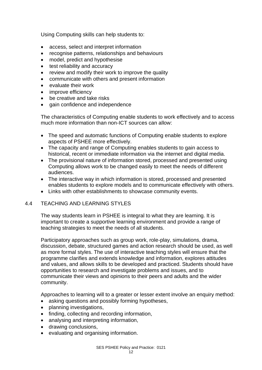Using Computing skills can help students to:

- access, select and interpret information
- recognise patterns, relationships and behaviours
- model, predict and hypothesise
- test reliability and accuracy
- review and modify their work to improve the quality
- communicate with others and present information
- evaluate their work
- improve efficiency
- be creative and take risks
- gain confidence and independence

The characteristics of Computing enable students to work effectively and to access much more information than non-ICT sources can allow:

- The speed and automatic functions of Computing enable students to explore aspects of PSHEE more effectively.
- The capacity and range of Computing enables students to gain access to historical, recent or immediate information via the internet and digital media.
- The provisional nature of information stored, processed and presented using Computing allows work to be changed easily to meet the needs of different audiences.
- The interactive way in which information is stored, processed and presented enables students to explore models and to communicate effectively with others.
- Links with other establishments to showcase community events.

#### 4.4 TEACHING AND LEARNING STYLES

The way students learn in PSHEE is integral to what they are learning. It is important to create a supportive learning environment and provide a range of teaching strategies to meet the needs of all students.

Participatory approaches such as group work, role-play, simulations, drama, discussion, debate, structured games and action research should be used, as well as more formal styles. The use of interactive teaching styles will ensure that the programme clarifies and extends knowledge and information, explores attitudes and values, and allows skills to be developed and practiced. Students should have opportunities to research and investigate problems and issues, and to communicate their views and opinions to their peers and adults and the wider community.

Approaches to learning will to a greater or lesser extent involve an enquiry method:

- asking questions and possibly forming hypotheses,
- planning investigations,
- finding, collecting and recording information,
- analysing and interpreting information,
- drawing conclusions,
- evaluating and organising information.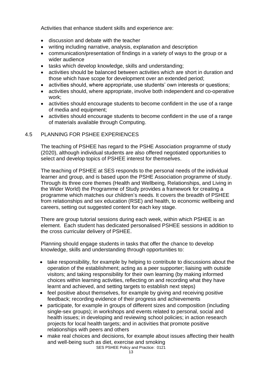Activities that enhance student skills and experience are:

- discussion and debate with the teacher
- writing including narrative, analysis, explanation and description
- communication/presentation of findings in a variety of ways to the group or a wider audience
- tasks which develop knowledge, skills and understanding;
- activities should be balanced between activities which are short in duration and those which have scope for development over an extended period;
- activities should, where appropriate, use students' own interests or questions:
- activities should, where appropriate, involve both independent and co-operative work;
- activities should encourage students to become confident in the use of a range of media and equipment;
- activities should encourage students to become confident in the use of a range of materials available through Computing.

### 4.5 PLANNING FOR PSHEE EXPERIENCES

The teaching of PSHEE has regard to the PSHE Association programme of study (2020), although individual students are also offered negotiated opportunities to select and develop topics of PSHEE interest for themselves.

The teaching of PSHEE at SES responds to the personal needs of the individual learner and group, and is based upon the PSHE Association programme of study. Through its three core themes (Health and Wellbeing, Relationships, and Living in the Wider World) the Programme of Study provides a framework for creating a programme which matches our children's needs. It covers the breadth of PSHEE from relationships and sex education (RSE) and health, to economic wellbeing and careers, setting out suggested content for each key stage.

There are group tutorial sessions during each week, within which PSHEE is an element. Each student has dedicated personalised PSHEE sessions in addition to the cross curricular delivery of PSHEE.

Planning should engage students in tasks that offer the chance to develop knowledge, skills and understanding through opportunities to:

- take responsibility, for example by helping to contribute to discussions about the operation of the establishment; acting as a peer supporter; liaising with outside visitors; and taking responsibility for their own learning (by making informed choices within learning activities, reflecting on and recording what they have learnt and achieved, and setting targets to establish next steps)
- feel positive about themselves, for example by giving and receiving positive feedback; recording evidence of their progress and achievements
- participate, for example in groups of different sizes and composition (including single-sex groups); in workshops and events related to personal, social and health issues; in developing and reviewing school policies; in action research projects for local health targets; and in activities that promote positive relationships with peers and others
- make real choices and decisions, for example about issues affecting their health and well-being such as diet, exercise and smoking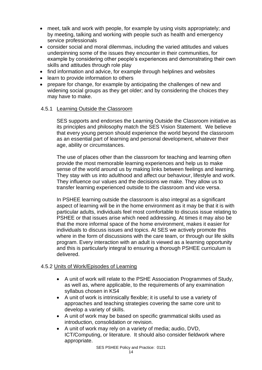- meet, talk and work with people, for example by using visits appropriately; and by meeting, talking and working with people such as health and emergency service professionals
- consider social and moral dilemmas, including the varied attitudes and values underpinning some of the issues they encounter in their communities, for example by considering other people's experiences and demonstrating their own skills and attitudes through role play
- find information and advice, for example through helplines and websites
- learn to provide information to others
- prepare for change, for example by anticipating the challenges of new and widening social groups as they get older; and by considering the choices they may have to make.

#### 4.5.1 Learning Outside the Classroom

SES supports and endorses the Learning Outside the Classroom initiative as its principles and philosophy match the SES Vision Statement. We believe that every young person should experience the world beyond the classroom as an essential part of learning and personal development, whatever their age, ability or circumstances.

The use of places other than the classroom for teaching and learning often provide the most memorable learning experiences and help us to make sense of the world around us by making links between feelings and learning. They stay with us into adulthood and affect our behaviour, lifestyle and work. They influence our values and the decisions we make. They allow us to transfer learning experienced outside to the classroom and vice versa.

In PSHEE learning outside the classroom is also integral as a significant aspect of learning will be in the home environment as it may be that it is with particular adults, individuals feel most comfortable to discuss issue relating to PSHEE or that issues arise which need addressing. At times it may also be that the more informal space of the home environment, makes it easier for individuals to discuss issues and topics. At SES we actively promote this where in the form of discussions with the care team, or through our life skills program. Every interaction with an adult is viewed as a learning opportunity and this is particularly integral to ensuring a thorough PSHEE curriculum is delivered.

#### 4.5.2 Units of Work/Episodes of Learning

- A unit of work will relate to the PSHE Association Programmes of Study, as well as, where applicable, to the requirements of any examination syllabus chosen in KS4
- A unit of work is intrinsically flexible; it is useful to use a variety of approaches and teaching strategies covering the same core unit to develop a variety of skills.
- A unit of work may be based on specific grammatical skills used as introduction, consolidation or revision.
- A unit of work may rely on a variety of media; audio, DVD, ICT/Computing, or literature. It should also consider fieldwork where appropriate.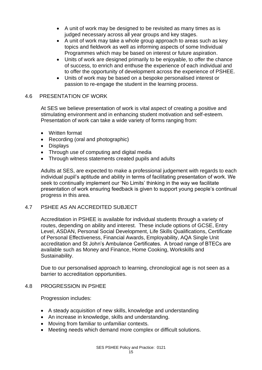- A unit of work may be designed to be revisited as many times as is judged necessary across all year groups and key stages.
- A unit of work may take a whole group approach to areas such as key topics and fieldwork as well as informing aspects of some Individual Programmes which may be based on interest or future aspiration.
- Units of work are designed primarily to be enjoyable, to offer the chance of success, to enrich and enthuse the experience of each individual and to offer the opportunity of development across the experience of PSHEE.
- Units of work may be based on a bespoke personalised interest or passion to re-engage the student in the learning process.

### 4.6 PRESENTATION OF WORK

At SES we believe presentation of work is vital aspect of creating a positive and stimulating environment and in enhancing student motivation and self-esteem. Presentation of work can take a wide variety of forms ranging from:

- Written format
- Recording (oral and photographic)
- Displays
- Through use of computing and digital media
- Through witness statements created pupils and adults

Adults at SES, are expected to make a professional judgement with regards to each individual pupil's aptitude and ability in terms of facilitating presentation of work. We seek to continually implement our 'No Limits' thinking in the way we facilitate presentation of work ensuring feedback is given to support young people's continual progress in this area.

#### 4.7 PSHEE AS AN ACCREDITED SUBJECT

Accreditation in PSHEE is available for individual students through a variety of routes, depending on ability and interest. These include options of GCSE, Entry Level, ASDAN, Personal Social Development, Life Skills Qualifications, Certificate of Personal Effectiveness, Financial Awards, Employability, AQA Single Unit accreditation and St John's Ambulance Certificates. A broad range of BTECs are available such as Money and Finance, Home Cooking, Workskills and Sustainability.

Due to our personalised approach to learning, chronological age is not seen as a barrier to accreditation opportunities.

#### 4.8 PROGRESSION IN PSHEE

Progression includes:

- A steady acquisition of new skills, knowledge and understanding
- An increase in knowledge, skills and understanding.
- Moving from familiar to unfamiliar contexts.
- Meeting needs which demand more complex or difficult solutions.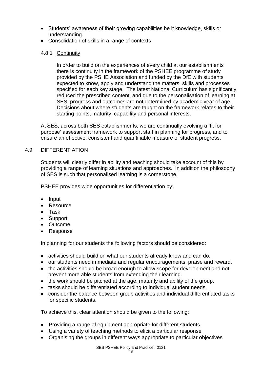- Students' awareness of their growing capabilities be it knowledge, skills or understanding.
- Consolidation of skills in a range of contexts

#### 4.8.1 Continuity

In order to build on the experiences of every child at our establishments there is continuity in the framework of the PSHEE programme of study provided by the PSHE Association and funded by the DfE with students expected to know, apply and understand the matters, skills and processes specified for each key stage. The latest National Curriculum has significantly reduced the prescribed content, and due to the personalisation of learning at SES, progress and outcomes are not determined by academic year of age. Decisions about where students are taught on the framework relates to their starting points, maturity, capability and personal interests.

At SES, across both SES establishments, we are continually evolving a 'fit for purpose' assessment framework to support staff in planning for progress, and to ensure an effective, consistent and quantifiable measure of student progress.

#### 4.9 DIFFERENTIATION

Students will clearly differ in ability and teaching should take account of this by providing a range of learning situations and approaches. In addition the philosophy of SES is such that personalised learning is a cornerstone.

PSHEE provides wide opportunities for differentiation by:

- Input
- Resource
- Task
- Support
- Outcome
- Response

In planning for our students the following factors should be considered:

- activities should build on what our students already know and can do.
- our students need immediate and regular encouragements, praise and reward.
- the activities should be broad enough to allow scope for development and not prevent more able students from extending their learning.
- the work should be pitched at the age, maturity and ability of the group.
- tasks should be differentiated according to individual student needs.
- consider the balance between group activities and individual differentiated tasks for specific students.

To achieve this, clear attention should be given to the following:

- Providing a range of equipment appropriate for different students
- Using a variety of teaching methods to elicit a particular response
- Organising the groups in different ways appropriate to particular objectives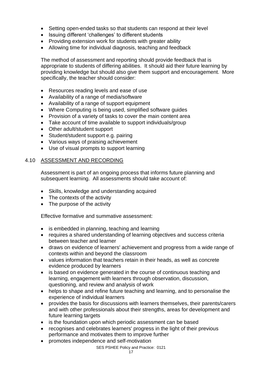- Setting open-ended tasks so that students can respond at their level
- Issuing different 'challenges' to different students
- Providing extension work for students with greater ability
- Allowing time for individual diagnosis, teaching and feedback

The method of assessment and reporting should provide feedback that is appropriate to students of differing abilities. It should aid their future learning by providing knowledge but should also give them support and encouragement. More specifically, the teacher should consider:

- Resources reading levels and ease of use
- Availability of a range of media/software
- Availability of a range of support equipment
- Where Computing is being used, simplified software guides
- Provision of a variety of tasks to cover the main content area
- Take account of time available to support individuals/group
- Other adult/student support
- Student/student support e.g. pairing
- Various ways of praising achievement
- Use of visual prompts to support learning

#### 4.10 ASSESSMENT AND RECORDING

Assessment is part of an ongoing process that informs future planning and subsequent learning. All assessments should take account of:

- Skills, knowledge and understanding acquired
- The contexts of the activity
- The purpose of the activity

Effective formative and summative assessment:

- is embedded in planning, teaching and learning
- requires a shared understanding of learning objectives and success criteria between teacher and learner
- draws on evidence of learners' achievement and progress from a wide range of contexts within and beyond the classroom
- values information that teachers retain in their heads, as well as concrete evidence produced by learners
- is based on evidence generated in the course of continuous teaching and learning, engagement with learners through observation, discussion, questioning, and review and analysis of work
- helps to shape and refine future teaching and learning, and to personalise the experience of individual learners
- provides the basis for discussions with learners themselves, their parents/carers and with other professionals about their strengths, areas for development and future learning targets
- is the foundation upon which periodic assessment can be based
- recognises and celebrates learners' progress in the light of their previous performance and motivates them to improve further
- promotes independence and self-motivation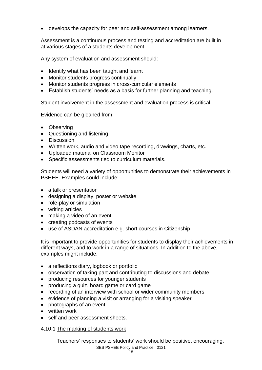• develops the capacity for peer and self-assessment among learners.

Assessment is a continuous process and testing and accreditation are built in at various stages of a students development.

Any system of evaluation and assessment should:

- Identify what has been taught and learnt
- Monitor students progress continually
- Monitor students progress in cross-curricular elements
- Establish students' needs as a basis for further planning and teaching.

Student involvement in the assessment and evaluation process is critical.

Evidence can be gleaned from:

- Observing
- Questioning and listening
- Discussion
- Written work, audio and video tape recording, drawings, charts, etc.
- Uploaded material on Classroom Monitor
- Specific assessments tied to curriculum materials.

Students will need a variety of opportunities to demonstrate their achievements in PSHEE. Examples could include:

- a talk or presentation
- designing a display, poster or website
- role-play or simulation
- writing articles
- making a video of an event
- creating podcasts of events
- use of ASDAN accreditation e.g. short courses in Citizenship

It is important to provide opportunities for students to display their achievements in different ways, and to work in a range of situations. In addition to the above, examples might include:

- a reflections diary, logbook or portfolio
- observation of taking part and contributing to discussions and debate
- producing resources for younger students
- producing a quiz, board game or card game
- recording of an interview with school or wider community members
- evidence of planning a visit or arranging for a visiting speaker
- photographs of an event
- written work
- self and peer assessment sheets.

#### 4.10.1 The marking of students work

SES PSHEE Policy and Practice: 0121 Teachers' responses to students' work should be positive, encouraging,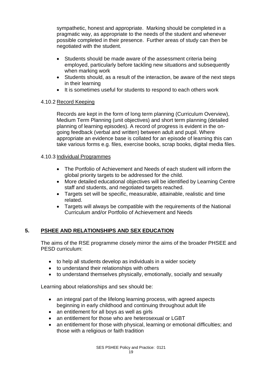sympathetic, honest and appropriate. Marking should be completed in a pragmatic way, as appropriate to the needs of the student and whenever possible completed in their presence. Further areas of study can then be negotiated with the student.

- Students should be made aware of the assessment criteria being employed, particularly before tackling new situations and subsequently when marking work
- Students should, as a result of the interaction, be aware of the next steps in their learning
- It is sometimes useful for students to respond to each others work

## 4.10.2 Record Keeping

Records are kept in the form of long term planning (Curriculum Overview), Medium Term Planning (unit objectives) and short term planning (detailed planning of learning episodes). A record of progress is evident in the ongoing feedback (verbal and written) between adult and pupil. Where appropriate an evidence base is collated for an episode of learning this can take various forms e.g. files, exercise books, scrap books, digital media files.

## 4.10.3 Individual Programmes

- The Portfolio of Achievement and Needs of each student will inform the global priority targets to be addressed for the child.
- More detailed educational objectives will be identified by Learning Centre staff and students, and negotiated targets reached.
- Targets set will be specific, measurable, attainable, realistic and time related.
- Targets will always be compatible with the requirements of the National Curriculum and/or Portfolio of Achievement and Needs

# **5. PSHEE AND RELATIONSHIPS AND SEX EDUCATION**

The aims of the RSE programme closely mirror the aims of the broader PHSEE and PESD curriculum:

- to help all students develop as individuals in a wider society
- to understand their relationships with others
- to understand themselves physically, emotionally, socially and sexually

Learning about relationships and sex should be:

- an integral part of the lifelong learning process, with agreed aspects beginning in early childhood and continuing throughout adult life
- an entitlement for all boys as well as girls
- an entitlement for those who are heterosexual or LGBT
- an entitlement for those with physical, learning or emotional difficulties; and those with a religious or faith tradition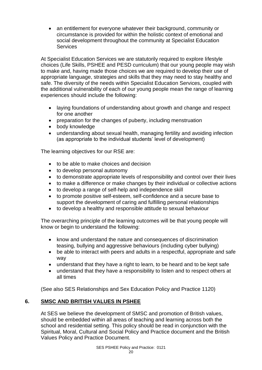• an entitlement for everyone whatever their background, community or circumstance is provided for within the holistic context of emotional and social development throughout the community at Specialist Education **Services** 

At Specialist Education Services we are statutorily required to explore lifestyle choices (Life Skills, PSHEE and PESD curriculum) that our young people may wish to make and, having made those choices we are required to develop their use of appropriate language, strategies and skills that they may need to stay healthy and safe. The diversity of the needs within Specialist Education Services, coupled with the additional vulnerability of each of our young people mean the range of learning experiences should include the following:

- laying foundations of understanding about growth and change and respect for one another
- preparation for the changes of puberty, including menstruation
- body knowledge
- understanding about sexual health, managing fertility and avoiding infection (as appropriate to the individual students' level of development)

The learning objectives for our RSE are:

- to be able to make choices and decision
- to develop personal autonomy
- to demonstrate appropriate levels of responsibility and control over their lives
- to make a difference or make changes by their individual or collective actions
- to develop a range of self-help and independence skill
- to promote positive self-esteem, self-confidence and a secure base to support the development of caring and fulfilling personal relationships
- to develop a healthy and responsible attitude to sexual behaviour

The overarching principle of the learning outcomes will be that young people will know or begin to understand the following:

- know and understand the nature and consequences of discrimination teasing, bullying and aggressive behaviours (including cyber bullying)
- be able to interact with peers and adults in a respectful, appropriate and safe way
- understand that they have a right to learn, to be heard and to be kept safe
- understand that they have a responsibility to listen and to respect others at all times

(See also SES Relationships and Sex Education Policy and Practice 1120)

# **6. SMSC AND BRITISH VALUES IN PSHEE**

At SES we believe the development of SMSC and promotion of British values, should be embedded within all areas of teaching and learning across both the school and residential setting. This policy should be read in conjunction with the Spiritual, Moral, Cultural and Social Policy and Practice document and the British Values Policy and Practice Document.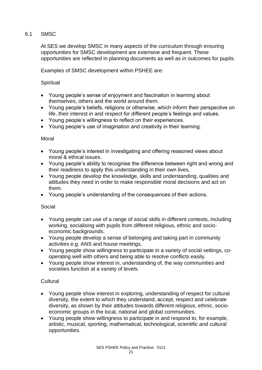## 6.1 SMSC

At SES we develop SMSC in many aspects of the curriculum through ensuring opportunities for SMSC development are extensive and frequent. These opportunities are reflected in planning documents as well as in outcomes for pupils.

Examples of SMSC development within PSHEE are:

### **Spiritual**

- Young people's sense of enjoyment and fascination in learning about themselves, others and the world around them.
- Young people's beliefs, religions or otherwise, which inform their perspective on life, their interest in and respect for different people's feelings and values.
- Young people's willingness to reflect on their experiences.
- Young people's use of imagination and creativity in their learning.

#### Moral

- Young people's interest in investigating and offering reasoned views about moral & ethical issues.
- Young people's ability to recognise the difference between right and wrong and their readiness to apply this understanding in their own lives.
- Young people develop the knowledge, skills and understanding, qualities and attitudes they need in order to make responsible moral decisions and act on them.
- Young people's understanding of the consequences of their actions.

#### Social

- Young people can use of a range of social skills in different contexts, including working, socialising with pupils from different religious, ethnic and socioeconomic backgrounds.
- Young people develop a sense of belonging and taking part in community activities e.g. ANS and house meetings.
- Young people show willingness to participate in a variety of social settings, cooperating well with others and being able to resolve conflicts easily.
- Young people show interest in, understanding of, the way communities and societies function at a variety of levels.

#### **Cultural**

- Young people show interest in exploring, understanding of respect for cultural diversity, the extent to which they understand, accept, respect and celebrate diversity, as shown by their attitudes towards different religious, ethnic, socioeconomic groups in the local, national and global communities.
- Young people show willingness to participate in and respond to, for example, artistic, musical, sporting, mathematical, technological, scientific and cultural opportunities.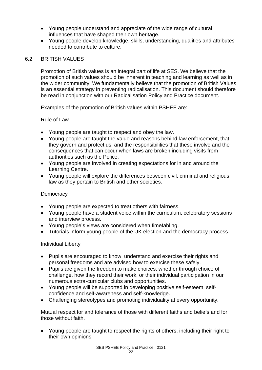- Young people understand and appreciate of the wide range of cultural influences that have shaped their own heritage.
- Young people develop knowledge, skills, understanding, qualities and attributes needed to contribute to culture.

### 6.2 BRITISH VALUES

Promotion of British values is an integral part of life at SES. We believe that the promotion of such values should be inherent in teaching and learning as well as in the wider community. We fundamentally believe that the promotion of British Values is an essential strategy in preventing radicalisation. This document should therefore be read in conjunction with our Radicalisation Policy and Practice document.

Examples of the promotion of British values within PSHEE are:

#### Rule of Law

- Young people are taught to respect and obey the law.
- Young people are taught the value and reasons behind law enforcement, that they govern and protect us, and the responsibilities that these involve and the consequences that can occur when laws are broken including visits from authorities such as the Police.
- Young people are involved in creating expectations for in and around the Learning Centre.
- Young people will explore the differences between civil, criminal and religious law as they pertain to British and other societies.

#### **Democracy**

- Young people are expected to treat others with fairness.
- Young people have a student voice within the curriculum, celebratory sessions and interview process.
- Young people's views are considered when timetabling.
- Tutorials inform young people of the UK election and the democracy process.

#### Individual Liberty

- Pupils are encouraged to know, understand and exercise their rights and personal freedoms and are advised how to exercise these safely.
- Pupils are given the freedom to make choices, whether through choice of challenge, how they record their work, or their individual participation in our numerous extra-curricular clubs and opportunities.
- Young people will be supported in developing positive self-esteem, selfconfidence and self-awareness and self-knowledge.
- Challenging stereotypes and promoting individuality at every opportunity.

Mutual respect for and tolerance of those with different faiths and beliefs and for those without faith.

• Young people are taught to respect the rights of others, including their right to their own opinions.